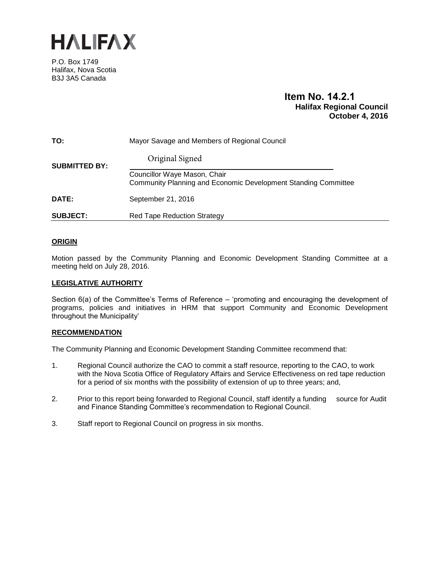

P.O. Box 1749 Halifax, Nova Scotia B3J 3A5 Canada

# **Item No. 14.2.1 Halifax Regional Council October 4, 2016**

| TO:                  | Mayor Savage and Members of Regional Council                                                   |
|----------------------|------------------------------------------------------------------------------------------------|
| <b>SUBMITTED BY:</b> | Original Signed                                                                                |
|                      | Councillor Waye Mason, Chair<br>Community Planning and Economic Development Standing Committee |
| DATE:                | September 21, 2016                                                                             |
| <b>SUBJECT:</b>      | <b>Red Tape Reduction Strategy</b>                                                             |

# **ORIGIN**

Motion passed by the Community Planning and Economic Development Standing Committee at a meeting held on July 28, 2016.

# **LEGISLATIVE AUTHORITY**

Section 6(a) of the Committee's Terms of Reference – 'promoting and encouraging the development of programs, policies and initiatives in HRM that support Community and Economic Development throughout the Municipality'

# **RECOMMENDATION**

The Community Planning and Economic Development Standing Committee recommend that:

- 1. Regional Council authorize the CAO to commit a staff resource, reporting to the CAO, to work with the Nova Scotia Office of Regulatory Affairs and Service Effectiveness on red tape reduction for a period of six months with the possibility of extension of up to three years; and,
- 2. Prior to this report being forwarded to Regional Council, staff identify a funding source for Audit and Finance Standing Committee's recommendation to Regional Council.
- 3. Staff report to Regional Council on progress in six months.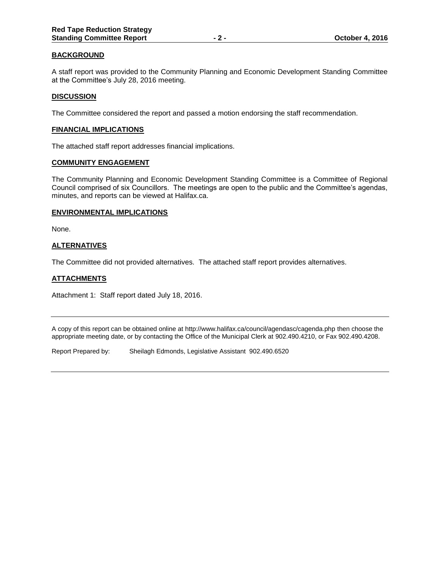# **BACKGROUND**

A staff report was provided to the Community Planning and Economic Development Standing Committee at the Committee's July 28, 2016 meeting.

### **DISCUSSION**

The Committee considered the report and passed a motion endorsing the staff recommendation.

### **FINANCIAL IMPLICATIONS**

The attached staff report addresses financial implications.

### **COMMUNITY ENGAGEMENT**

The Community Planning and Economic Development Standing Committee is a Committee of Regional Council comprised of six Councillors. The meetings are open to the public and the Committee's agendas, minutes, and reports can be viewed at Halifax.ca.

### **ENVIRONMENTAL IMPLICATIONS**

None.

# **ALTERNATIVES**

The Committee did not provided alternatives. The attached staff report provides alternatives.

# **ATTACHMENTS**

Attachment 1: Staff report dated July 18, 2016.

A copy of this report can be obtained online at http://www.halifax.ca/council/agendasc/cagenda.php then choose the appropriate meeting date, or by contacting the Office of the Municipal Clerk at 902.490.4210, or Fax 902.490.4208.

Report Prepared by: Sheilagh Edmonds, Legislative Assistant 902.490.6520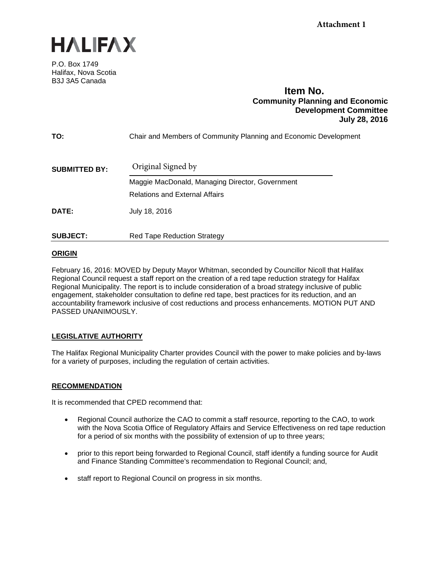

P.O. Box 1749 Halifax, Nova Scotia B3J 3A5 Canada

# **Item No. Community Planning and Economic Development Committee July 28, 2016**

| TO:                  | Chair and Members of Community Planning and Economic Development |
|----------------------|------------------------------------------------------------------|
| <b>SUBMITTED BY:</b> | Original Signed by                                               |
|                      | Maggie MacDonald, Managing Director, Government                  |
|                      | <b>Relations and External Affairs</b>                            |
| DATE:                | July 18, 2016                                                    |
| <b>SUBJECT:</b>      | <b>Red Tape Reduction Strategy</b>                               |

# **ORIGIN**

February 16, 2016: MOVED by Deputy Mayor Whitman, seconded by Councillor Nicoll that Halifax Regional Council request a staff report on the creation of a red tape reduction strategy for Halifax Regional Municipality. The report is to include consideration of a broad strategy inclusive of public engagement, stakeholder consultation to define red tape, best practices for its reduction, and an accountability framework inclusive of cost reductions and process enhancements. MOTION PUT AND PASSED UNANIMOUSLY.

# **LEGISLATIVE AUTHORITY**

The Halifax Regional Municipality Charter provides Council with the power to make policies and by-laws for a variety of purposes, including the regulation of certain activities.

# **RECOMMENDATION**

It is recommended that CPED recommend that:

- Regional Council authorize the CAO to commit a staff resource, reporting to the CAO, to work with the Nova Scotia Office of Regulatory Affairs and Service Effectiveness on red tape reduction for a period of six months with the possibility of extension of up to three years;
- prior to this report being forwarded to Regional Council, staff identify a funding source for Audit and Finance Standing Committee's recommendation to Regional Council; and,
- staff report to Regional Council on progress in six months.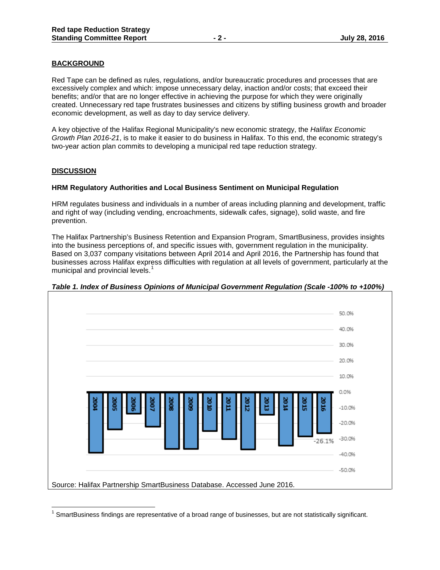# **BACKGROUND**

Red Tape can be defined as rules, regulations, and/or bureaucratic procedures and processes that are excessively complex and which: impose unnecessary delay, inaction and/or costs; that exceed their benefits; and/or that are no longer effective in achieving the purpose for which they were originally created. Unnecessary red tape frustrates businesses and citizens by stifling business growth and broader economic development, as well as day to day service delivery.

A key objective of the Halifax Regional Municipality's new economic strategy, the *Halifax Economic Growth Plan 2016-21*, is to make it easier to do business in Halifax. To this end, the economic strategy's two-year action plan commits to developing a municipal red tape reduction strategy.

# **DISCUSSION**

### **HRM Regulatory Authorities and Local Business Sentiment on Municipal Regulation**

HRM regulates business and individuals in a number of areas including planning and development, traffic and right of way (including vending, encroachments, sidewalk cafes, signage), solid waste, and fire prevention.

The Halifax Partnership's Business Retention and Expansion Program, SmartBusiness, provides insights into the business perceptions of, and specific issues with, government regulation in the municipality. Based on 3,037 company visitations between April 2014 and April 2016, the Partnership has found that businesses across Halifax express difficulties with regulation at all levels of government, particularly at the municipal and provincial levels.<sup>[1](#page-3-0)</sup>



*Table 1. Index of Business Opinions of Municipal Government Regulation (Scale -100% to +100%)*

<span id="page-3-0"></span> $1$  SmartBusiness findings are representative of a broad range of businesses, but are not statistically significant.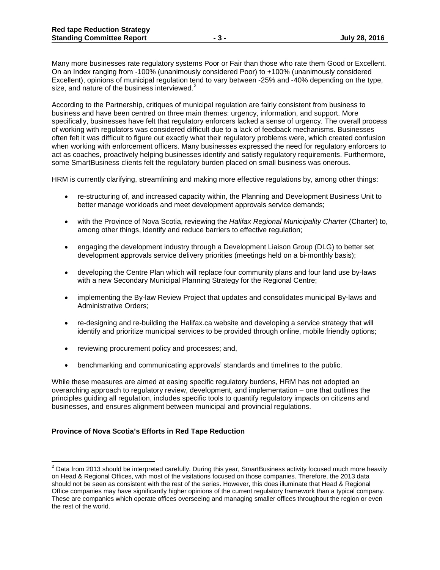Many more businesses rate regulatory systems Poor or Fair than those who rate them Good or Excellent. On an Index ranging from -100% (unanimously considered Poor) to +100% (unanimously considered Excellent), opinions of municipal regulation tend to vary between -25% and -40% depending on the type, size, and nature of the business interviewed.<sup>[2](#page-4-0)</sup>

According to the Partnership, critiques of municipal regulation are fairly consistent from business to business and have been centred on three main themes: urgency, information, and support. More specifically, businesses have felt that regulatory enforcers lacked a sense of urgency. The overall process of working with regulators was considered difficult due to a lack of feedback mechanisms. Businesses often felt it was difficult to figure out exactly what their regulatory problems were, which created confusion when working with enforcement officers. Many businesses expressed the need for regulatory enforcers to act as coaches, proactively helping businesses identify and satisfy regulatory requirements. Furthermore, some SmartBusiness clients felt the regulatory burden placed on small business was onerous.

HRM is currently clarifying, streamlining and making more effective regulations by, among other things:

- re-structuring of, and increased capacity within, the Planning and Development Business Unit to better manage workloads and meet development approvals service demands;
- with the Province of Nova Scotia, reviewing the *Halifax Regional Municipality Charter* (Charter) to, among other things, identify and reduce barriers to effective regulation;
- engaging the development industry through a Development Liaison Group (DLG) to better set development approvals service delivery priorities (meetings held on a bi-monthly basis);
- developing the Centre Plan which will replace four community plans and four land use by-laws with a new Secondary Municipal Planning Strategy for the Regional Centre;
- implementing the By-law Review Project that updates and consolidates municipal By-laws and Administrative Orders;
- re-designing and re-building the Halifax.ca website and developing a service strategy that will identify and prioritize municipal services to be provided through online, mobile friendly options;
- reviewing procurement policy and processes; and,
- benchmarking and communicating approvals' standards and timelines to the public.

While these measures are aimed at easing specific regulatory burdens, HRM has not adopted an overarching approach to regulatory review, development, and implementation – one that outlines the principles guiding all regulation, includes specific tools to quantify regulatory impacts on citizens and businesses, and ensures alignment between municipal and provincial regulations.

# **Province of Nova Scotia's Efforts in Red Tape Reduction**

<span id="page-4-0"></span> $^2$  Data from 2013 should be interpreted carefully. During this year, SmartBusiness activity focused much more heavily on Head & Regional Offices, with most of the visitations focused on those companies. Therefore, the 2013 data should not be seen as consistent with the rest of the series. However, this does illuminate that Head & Regional Office companies may have significantly higher opinions of the current regulatory framework than a typical company. These are companies which operate offices overseeing and managing smaller offices throughout the region or even the rest of the world.  $\overline{a}$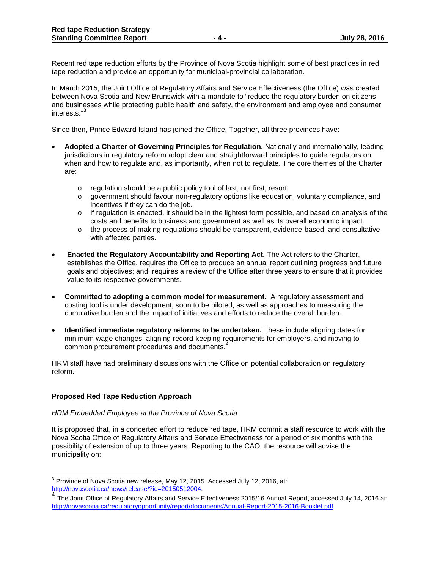Recent red tape reduction efforts by the Province of Nova Scotia highlight some of best practices in red tape reduction and provide an opportunity for municipal-provincial collaboration.

In March 2015, the Joint Office of Regulatory Affairs and Service Effectiveness (the Office) was created between Nova Scotia and New Brunswick with a mandate to "reduce the regulatory burden on citizens and businesses while protecting public health and safety, the environment and employee and consumer interests."[3](#page-5-0)

Since then, Prince Edward Island has joined the Office. Together, all three provinces have:

- **Adopted a Charter of Governing Principles for Regulation.** Nationally and internationally, leading jurisdictions in regulatory reform adopt clear and straightforward principles to guide regulators on when and how to regulate and, as importantly, when not to regulate. The core themes of the Charter are:
	- o regulation should be a public policy tool of last, not first, resort.
	- o government should favour non-regulatory options like education, voluntary compliance, and incentives if they can do the job.
	- $\circ$  if regulation is enacted, it should be in the lightest form possible, and based on analysis of the costs and benefits to business and government as well as its overall economic impact.
	- o the process of making regulations should be transparent, evidence-based, and consultative with affected parties.
- **Enacted the Regulatory Accountability and Reporting Act.** The Act refers to the Charter, establishes the Office, requires the Office to produce an annual report outlining progress and future goals and objectives; and, requires a review of the Office after three years to ensure that it provides value to its respective governments.
- **Committed to adopting a common model for measurement.** A regulatory assessment and costing tool is under development, soon to be piloted, as well as approaches to measuring the cumulative burden and the impact of initiatives and efforts to reduce the overall burden.
- **Identified immediate regulatory reforms to be undertaken.** These include aligning dates for minimum wage changes, aligning record-keeping requirements for employers, and moving to common procurement procedures and documents.<sup>[4](#page-5-1)</sup>

HRM staff have had preliminary discussions with the Office on potential collaboration on regulatory reform.

# **Proposed Red Tape Reduction Approach**

#### *HRM Embedded Employee at the Province of Nova Scotia*

It is proposed that, in a concerted effort to reduce red tape, HRM commit a staff resource to work with the Nova Scotia Office of Regulatory Affairs and Service Effectiveness for a period of six months with the possibility of extension of up to three years. Reporting to the CAO, the resource will advise the municipality on:

 $^3$  Province of Nova Scotia new release, May 12, 2015. Accessed July 12, 2016, at:  $\overline{a}$ 

<span id="page-5-1"></span><span id="page-5-0"></span>[http://novascotia.ca/news/release/?id=20150512004.](http://novascotia.ca/news/release/?id=20150512004)<br><sup>[4](http://novascotia.ca/news/release/?id=20150512004)</sup> The Joint Office of Regulatory Affairs and Service Effectiveness 2015/16 Annual Report, accessed July 14, 2016 at: <http://novascotia.ca/regulatoryopportunity/report/documents/Annual-Report-2015-2016-Booklet.pdf>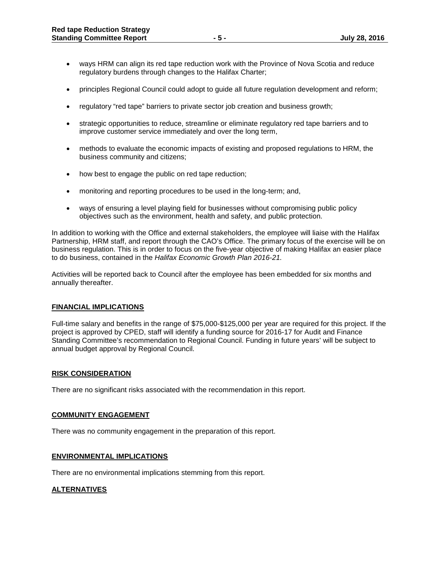- ways HRM can align its red tape reduction work with the Province of Nova Scotia and reduce regulatory burdens through changes to the Halifax Charter;
- principles Regional Council could adopt to guide all future regulation development and reform;
- regulatory "red tape" barriers to private sector job creation and business growth;
- strategic opportunities to reduce, streamline or eliminate regulatory red tape barriers and to improve customer service immediately and over the long term,
- methods to evaluate the economic impacts of existing and proposed regulations to HRM, the business community and citizens;
- how best to engage the public on red tape reduction;
- monitoring and reporting procedures to be used in the long-term; and,
- ways of ensuring a level playing field for businesses without compromising public policy objectives such as the environment, health and safety, and public protection.

In addition to working with the Office and external stakeholders, the employee will liaise with the Halifax Partnership, HRM staff, and report through the CAO's Office. The primary focus of the exercise will be on business regulation. This is in order to focus on the five-year objective of making Halifax an easier place to do business, contained in the *Halifax Economic Growth Plan 2016-21.*

Activities will be reported back to Council after the employee has been embedded for six months and annually thereafter.

# **FINANCIAL IMPLICATIONS**

Full-time salary and benefits in the range of \$75,000-\$125,000 per year are required for this project. If the project is approved by CPED, staff will identify a funding source for 2016-17 for Audit and Finance Standing Committee's recommendation to Regional Council. Funding in future years' will be subject to annual budget approval by Regional Council.

# **RISK CONSIDERATION**

There are no significant risks associated with the recommendation in this report.

# **COMMUNITY ENGAGEMENT**

There was no community engagement in the preparation of this report.

### **ENVIRONMENTAL IMPLICATIONS**

There are no environmental implications stemming from this report.

# **ALTERNATIVES**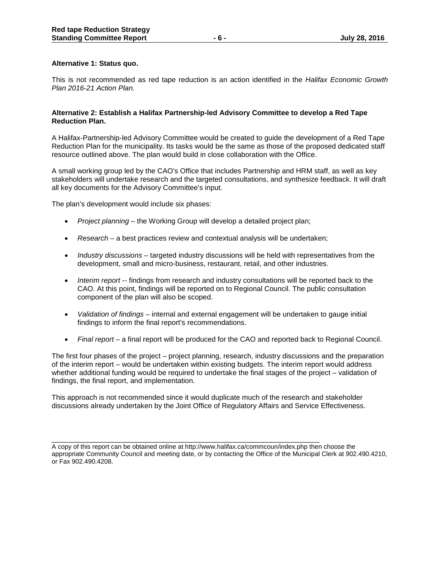# **Alternative 1: Status quo.**

This is not recommended as red tape reduction is an action identified in the *Halifax Economic Growth Plan 2016-21 Action Plan.* 

# **Alternative 2: Establish a Halifax Partnership-led Advisory Committee to develop a Red Tape Reduction Plan.**

A Halifax-Partnership-led Advisory Committee would be created to guide the development of a Red Tape Reduction Plan for the municipality. Its tasks would be the same as those of the proposed dedicated staff resource outlined above. The plan would build in close collaboration with the Office.

A small working group led by the CAO's Office that includes Partnership and HRM staff, as well as key stakeholders will undertake research and the targeted consultations, and synthesize feedback. It will draft all key documents for the Advisory Committee's input.

The plan's development would include six phases:

- *Project planning* the Working Group will develop a detailed project plan;
- *Research* a best practices review and contextual analysis will be undertaken;
- *Industry discussions* targeted industry discussions will be held with representatives from the development, small and micro-business, restaurant, retail, and other industries.
- *Interim report* -- findings from research and industry consultations will be reported back to the CAO. At this point, findings will be reported on to Regional Council. The public consultation component of the plan will also be scoped.
- *Validation of findings* internal and external engagement will be undertaken to gauge initial findings to inform the final report's recommendations.
- *Final report* a final report will be produced for the CAO and reported back to Regional Council.

The first four phases of the project – project planning, research, industry discussions and the preparation of the interim report – would be undertaken within existing budgets. The interim report would address whether additional funding would be required to undertake the final stages of the project – validation of findings, the final report, and implementation.

This approach is not recommended since it would duplicate much of the research and stakeholder discussions already undertaken by the Joint Office of Regulatory Affairs and Service Effectiveness.

\_\_\_\_\_\_\_\_\_\_\_\_\_\_\_\_\_\_\_\_\_\_\_\_\_\_\_\_\_\_\_\_\_\_\_\_\_\_\_\_\_\_\_\_\_\_\_\_\_\_\_\_\_\_\_\_\_\_\_\_\_\_\_\_\_\_\_ A copy of this report can be obtained online at http://www.halifax.ca/commcoun/index.php then choose the appropriate Community Council and meeting date, or by contacting the Office of the Municipal Clerk at 902.490.4210, or Fax 902.490.4208.